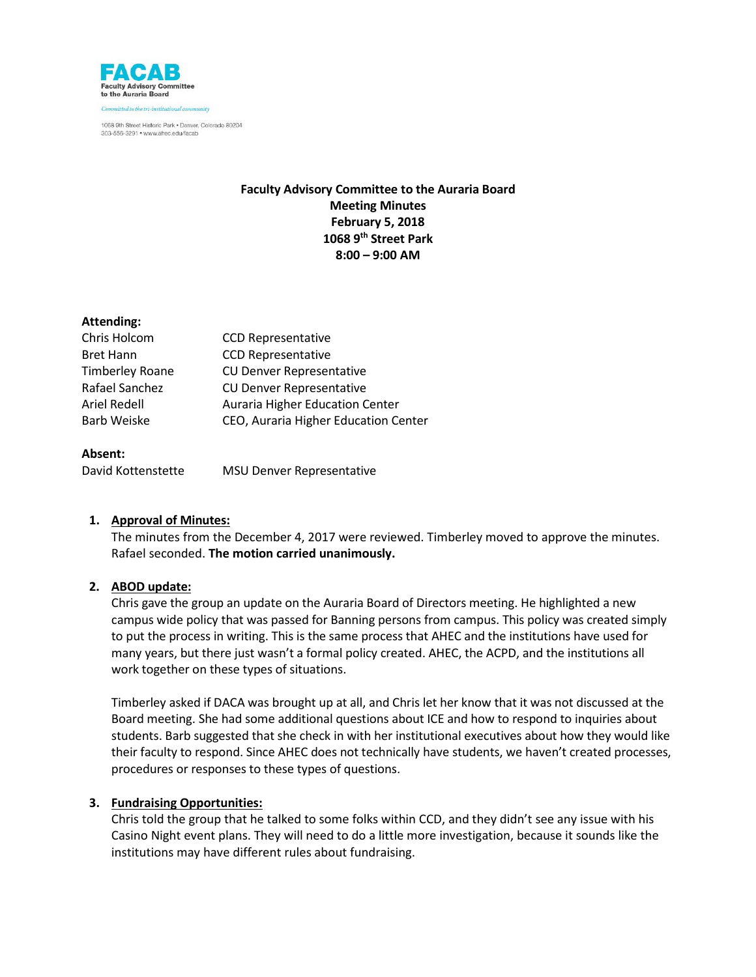

# **Faculty Advisory Committee to the Auraria Board Meeting Minutes February 5, 2018 1068 9th Street Park 8:00 – 9:00 AM**

## **Attending:**

| <b>CCD Representative</b>              |
|----------------------------------------|
| <b>CCD Representative</b>              |
| <b>CU Denver Representative</b>        |
| <b>CU Denver Representative</b>        |
| <b>Auraria Higher Education Center</b> |
| CEO, Auraria Higher Education Center   |
|                                        |

## **Absent:**

| David Kottenstette | <b>MSU Denver Representative</b> |
|--------------------|----------------------------------|
|                    |                                  |

## **1. Approval of Minutes:**

The minutes from the December 4, 2017 were reviewed. Timberley moved to approve the minutes. Rafael seconded. **The motion carried unanimously.**

## **2. ABOD update:**

Chris gave the group an update on the Auraria Board of Directors meeting. He highlighted a new campus wide policy that was passed for Banning persons from campus. This policy was created simply to put the process in writing. This is the same process that AHEC and the institutions have used for many years, but there just wasn't a formal policy created. AHEC, the ACPD, and the institutions all work together on these types of situations.

Timberley asked if DACA was brought up at all, and Chris let her know that it was not discussed at the Board meeting. She had some additional questions about ICE and how to respond to inquiries about students. Barb suggested that she check in with her institutional executives about how they would like their faculty to respond. Since AHEC does not technically have students, we haven't created processes, procedures or responses to these types of questions.

## **3. Fundraising Opportunities:**

Chris told the group that he talked to some folks within CCD, and they didn't see any issue with his Casino Night event plans. They will need to do a little more investigation, because it sounds like the institutions may have different rules about fundraising.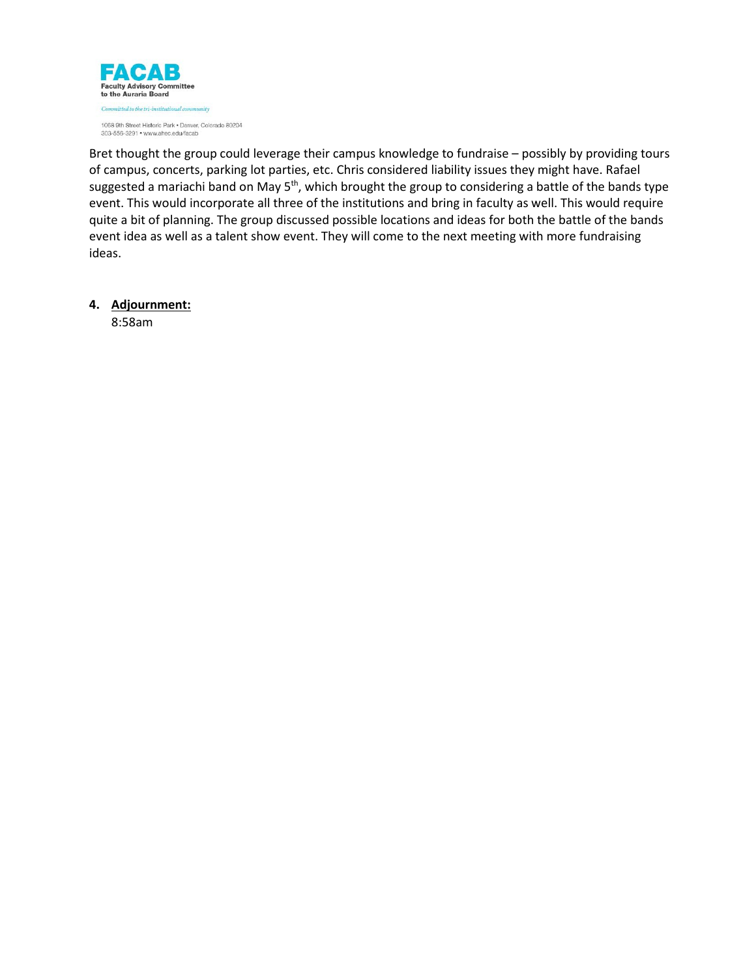

Bret thought the group could leverage their campus knowledge to fundraise – possibly by providing tours of campus, concerts, parking lot parties, etc. Chris considered liability issues they might have. Rafael suggested a mariachi band on May 5<sup>th</sup>, which brought the group to considering a battle of the bands type event. This would incorporate all three of the institutions and bring in faculty as well. This would require quite a bit of planning. The group discussed possible locations and ideas for both the battle of the bands event idea as well as a talent show event. They will come to the next meeting with more fundraising ideas.

**4. Adjournment:**

8:58am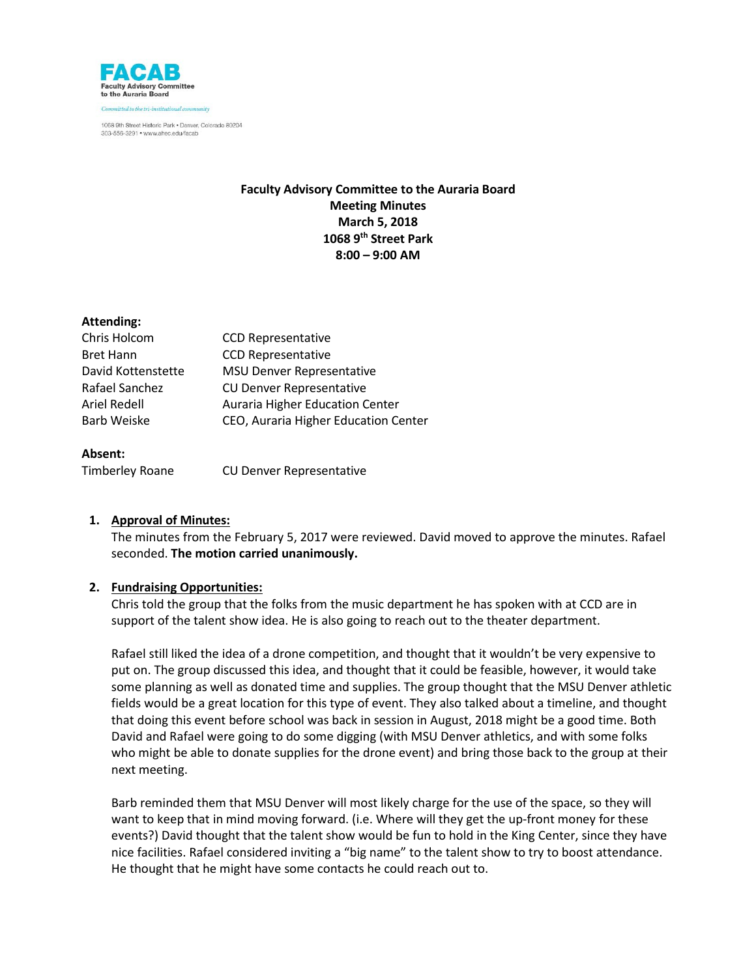

# **Faculty Advisory Committee to the Auraria Board Meeting Minutes March 5, 2018 1068 9th Street Park 8:00 – 9:00 AM**

## **Attending:**

| Chris Holcom       | <b>CCD Representative</b>            |
|--------------------|--------------------------------------|
| Bret Hann          | <b>CCD Representative</b>            |
| David Kottenstette | <b>MSU Denver Representative</b>     |
| Rafael Sanchez     | <b>CU Denver Representative</b>      |
| Ariel Redell       | Auraria Higher Education Center      |
| Barb Weiske        | CEO, Auraria Higher Education Center |
|                    |                                      |

## **Absent:**

Timberley Roane CU Denver Representative

## **1. Approval of Minutes:**

The minutes from the February 5, 2017 were reviewed. David moved to approve the minutes. Rafael seconded. **The motion carried unanimously.**

## **2. Fundraising Opportunities:**

Chris told the group that the folks from the music department he has spoken with at CCD are in support of the talent show idea. He is also going to reach out to the theater department.

Rafael still liked the idea of a drone competition, and thought that it wouldn't be very expensive to put on. The group discussed this idea, and thought that it could be feasible, however, it would take some planning as well as donated time and supplies. The group thought that the MSU Denver athletic fields would be a great location for this type of event. They also talked about a timeline, and thought that doing this event before school was back in session in August, 2018 might be a good time. Both David and Rafael were going to do some digging (with MSU Denver athletics, and with some folks who might be able to donate supplies for the drone event) and bring those back to the group at their next meeting.

Barb reminded them that MSU Denver will most likely charge for the use of the space, so they will want to keep that in mind moving forward. (i.e. Where will they get the up-front money for these events?) David thought that the talent show would be fun to hold in the King Center, since they have nice facilities. Rafael considered inviting a "big name" to the talent show to try to boost attendance. He thought that he might have some contacts he could reach out to.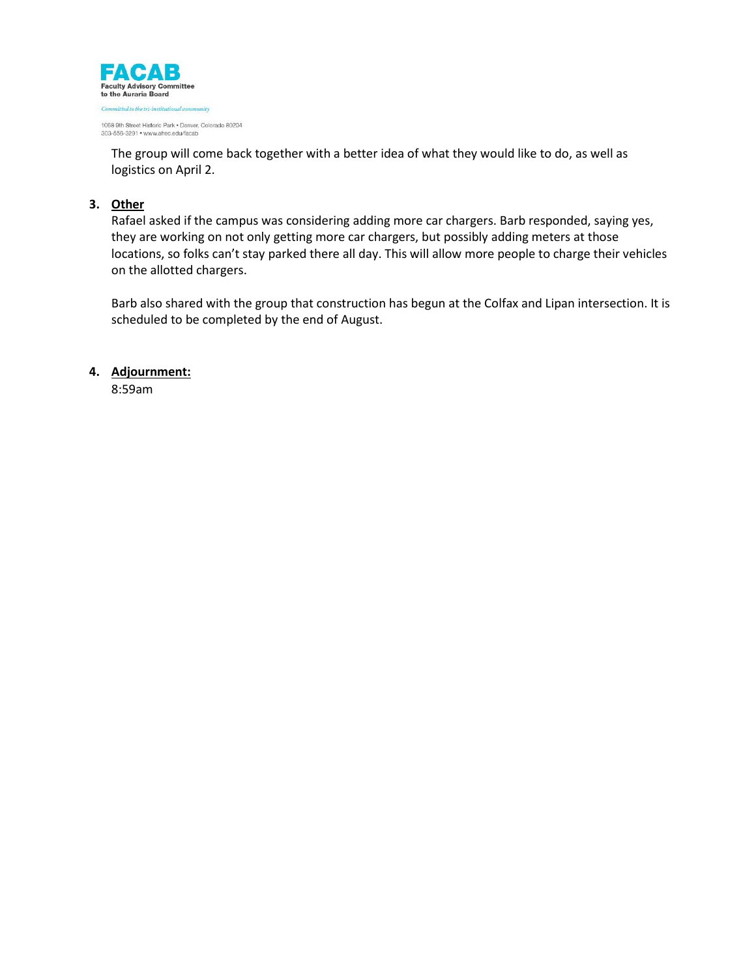

303-556-3291 · www.ahec.edu/facab

The group will come back together with a better idea of what they would like to do, as well as logistics on April 2.

# **3. Other**

Rafael asked if the campus was considering adding more car chargers. Barb responded, saying yes, they are working on not only getting more car chargers, but possibly adding meters at those locations, so folks can't stay parked there all day. This will allow more people to charge their vehicles on the allotted chargers.

Barb also shared with the group that construction has begun at the Colfax and Lipan intersection. It is scheduled to be completed by the end of August.

## **4. Adjournment:**

8:59am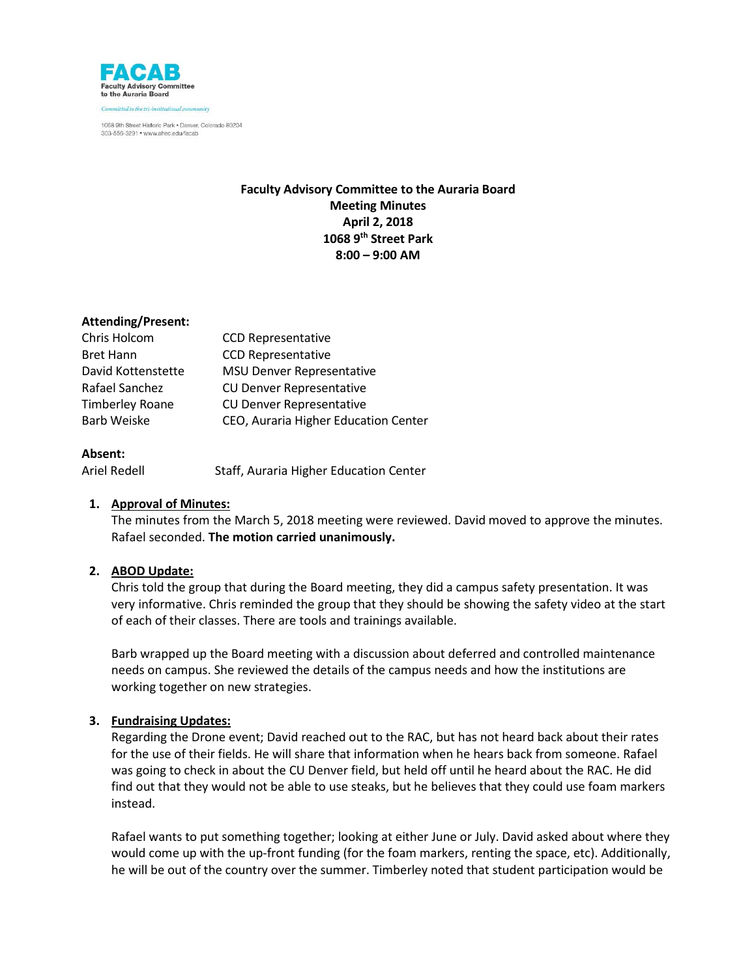

# **Faculty Advisory Committee to the Auraria Board Meeting Minutes April 2, 2018 1068 9th Street Park 8:00 – 9:00 AM**

## **Attending/Present:**

| Chris Holcom           | <b>CCD Representative</b>            |
|------------------------|--------------------------------------|
| <b>Bret Hann</b>       | <b>CCD Representative</b>            |
| David Kottenstette     | <b>MSU Denver Representative</b>     |
| Rafael Sanchez         | <b>CU Denver Representative</b>      |
| <b>Timberley Roane</b> | <b>CU Denver Representative</b>      |
| <b>Barb Weiske</b>     | CEO, Auraria Higher Education Center |

## **Absent:**

Ariel Redell Staff, Auraria Higher Education Center

## **1. Approval of Minutes:**

The minutes from the March 5, 2018 meeting were reviewed. David moved to approve the minutes. Rafael seconded. **The motion carried unanimously.**

## **2. ABOD Update:**

Chris told the group that during the Board meeting, they did a campus safety presentation. It was very informative. Chris reminded the group that they should be showing the safety video at the start of each of their classes. There are tools and trainings available.

Barb wrapped up the Board meeting with a discussion about deferred and controlled maintenance needs on campus. She reviewed the details of the campus needs and how the institutions are working together on new strategies.

## **3. Fundraising Updates:**

Regarding the Drone event; David reached out to the RAC, but has not heard back about their rates for the use of their fields. He will share that information when he hears back from someone. Rafael was going to check in about the CU Denver field, but held off until he heard about the RAC. He did find out that they would not be able to use steaks, but he believes that they could use foam markers instead.

Rafael wants to put something together; looking at either June or July. David asked about where they would come up with the up-front funding (for the foam markers, renting the space, etc). Additionally, he will be out of the country over the summer. Timberley noted that student participation would be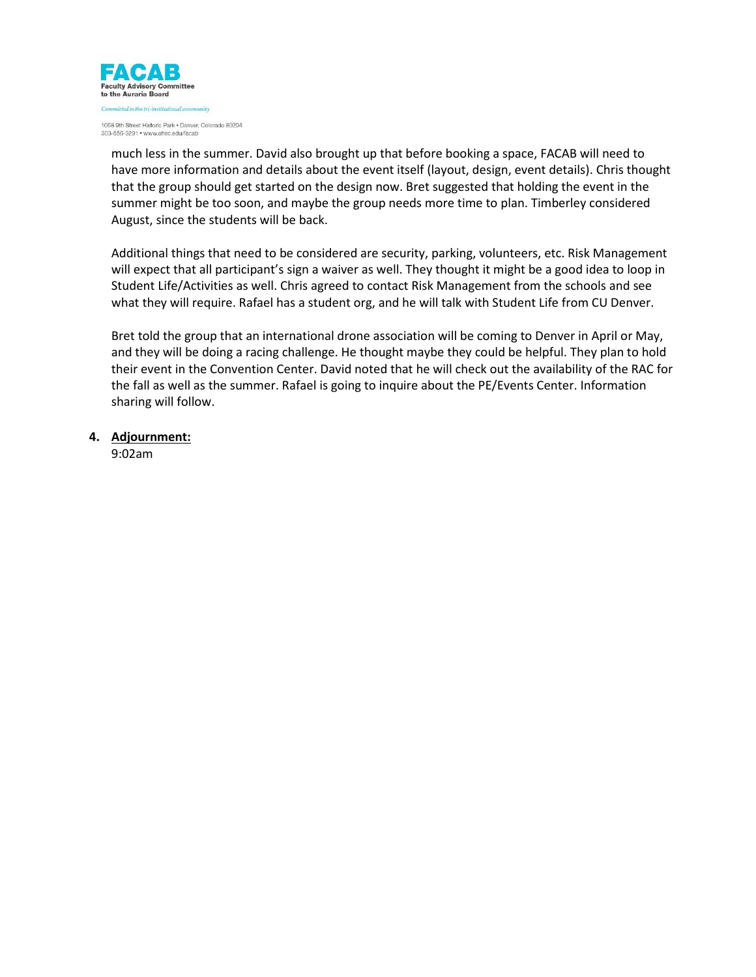

much less in the summer. David also brought up that before booking a space, FACAB will need to have more information and details about the event itself (layout, design, event details). Chris thought that the group should get started on the design now. Bret suggested that holding the event in the summer might be too soon, and maybe the group needs more time to plan. Timberley considered August, since the students will be back.

Additional things that need to be considered are security, parking, volunteers, etc. Risk Management will expect that all participant's sign a waiver as well. They thought it might be a good idea to loop in Student Life/Activities as well. Chris agreed to contact Risk Management from the schools and see what they will require. Rafael has a student org, and he will talk with Student Life from CU Denver.

Bret told the group that an international drone association will be coming to Denver in April or May, and they will be doing a racing challenge. He thought maybe they could be helpful. They plan to hold their event in the Convention Center. David noted that he will check out the availability of the RAC for the fall as well as the summer. Rafael is going to inquire about the PE/Events Center. Information sharing will follow.

**4. Adjournment:**

9:02am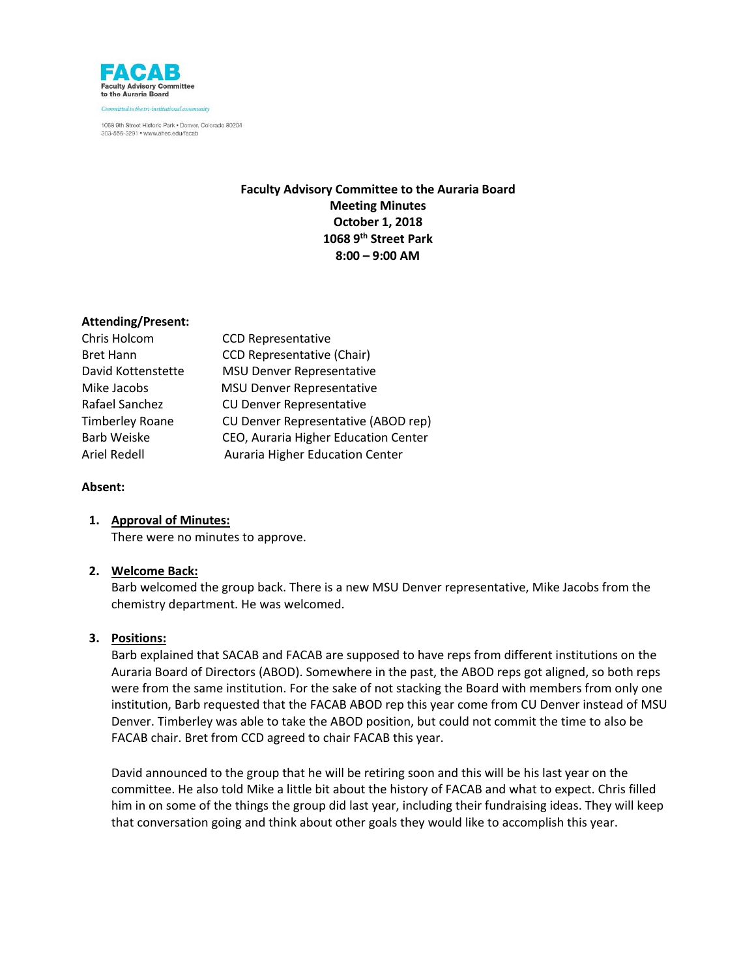

# **Faculty Advisory Committee to the Auraria Board Meeting Minutes October 1, 2018 1068 9th Street Park 8:00 – 9:00 AM**

## **Attending/Present:**

| Chris Holcom           | <b>CCD Representative</b>            |
|------------------------|--------------------------------------|
| <b>Bret Hann</b>       | <b>CCD Representative (Chair)</b>    |
| David Kottenstette     | <b>MSU Denver Representative</b>     |
| Mike Jacobs            | <b>MSU Denver Representative</b>     |
| Rafael Sanchez         | <b>CU Denver Representative</b>      |
| <b>Timberley Roane</b> | CU Denver Representative (ABOD rep)  |
| <b>Barb Weiske</b>     | CEO, Auraria Higher Education Center |
| Ariel Redell           | Auraria Higher Education Center      |
|                        |                                      |

## **Absent:**

## **1. Approval of Minutes:**

There were no minutes to approve.

## **2. Welcome Back:**

Barb welcomed the group back. There is a new MSU Denver representative, Mike Jacobs from the chemistry department. He was welcomed.

## **3. Positions:**

Barb explained that SACAB and FACAB are supposed to have reps from different institutions on the Auraria Board of Directors (ABOD). Somewhere in the past, the ABOD reps got aligned, so both reps were from the same institution. For the sake of not stacking the Board with members from only one institution, Barb requested that the FACAB ABOD rep this year come from CU Denver instead of MSU Denver. Timberley was able to take the ABOD position, but could not commit the time to also be FACAB chair. Bret from CCD agreed to chair FACAB this year.

David announced to the group that he will be retiring soon and this will be his last year on the committee. He also told Mike a little bit about the history of FACAB and what to expect. Chris filled him in on some of the things the group did last year, including their fundraising ideas. They will keep that conversation going and think about other goals they would like to accomplish this year.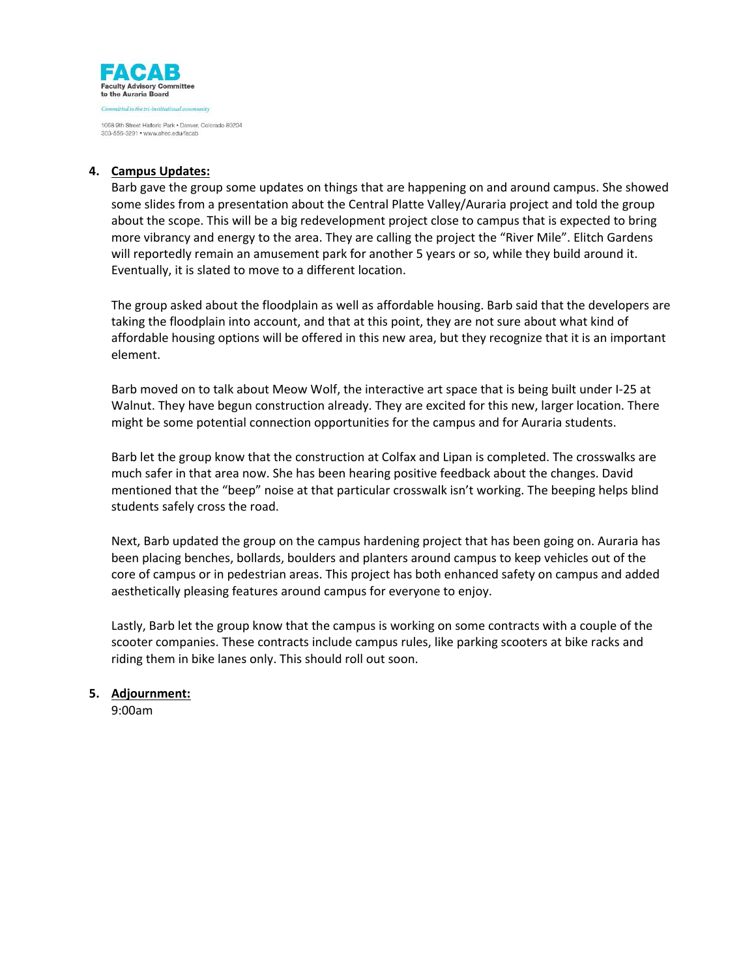

## **4. Campus Updates:**

Barb gave the group some updates on things that are happening on and around campus. She showed some slides from a presentation about the Central Platte Valley/Auraria project and told the group about the scope. This will be a big redevelopment project close to campus that is expected to bring more vibrancy and energy to the area. They are calling the project the "River Mile". Elitch Gardens will reportedly remain an amusement park for another 5 years or so, while they build around it. Eventually, it is slated to move to a different location.

The group asked about the floodplain as well as affordable housing. Barb said that the developers are taking the floodplain into account, and that at this point, they are not sure about what kind of affordable housing options will be offered in this new area, but they recognize that it is an important element.

Barb moved on to talk about Meow Wolf, the interactive art space that is being built under I-25 at Walnut. They have begun construction already. They are excited for this new, larger location. There might be some potential connection opportunities for the campus and for Auraria students.

Barb let the group know that the construction at Colfax and Lipan is completed. The crosswalks are much safer in that area now. She has been hearing positive feedback about the changes. David mentioned that the "beep" noise at that particular crosswalk isn't working. The beeping helps blind students safely cross the road.

Next, Barb updated the group on the campus hardening project that has been going on. Auraria has been placing benches, bollards, boulders and planters around campus to keep vehicles out of the core of campus or in pedestrian areas. This project has both enhanced safety on campus and added aesthetically pleasing features around campus for everyone to enjoy.

Lastly, Barb let the group know that the campus is working on some contracts with a couple of the scooter companies. These contracts include campus rules, like parking scooters at bike racks and riding them in bike lanes only. This should roll out soon.

## **5. Adjournment:**

9:00am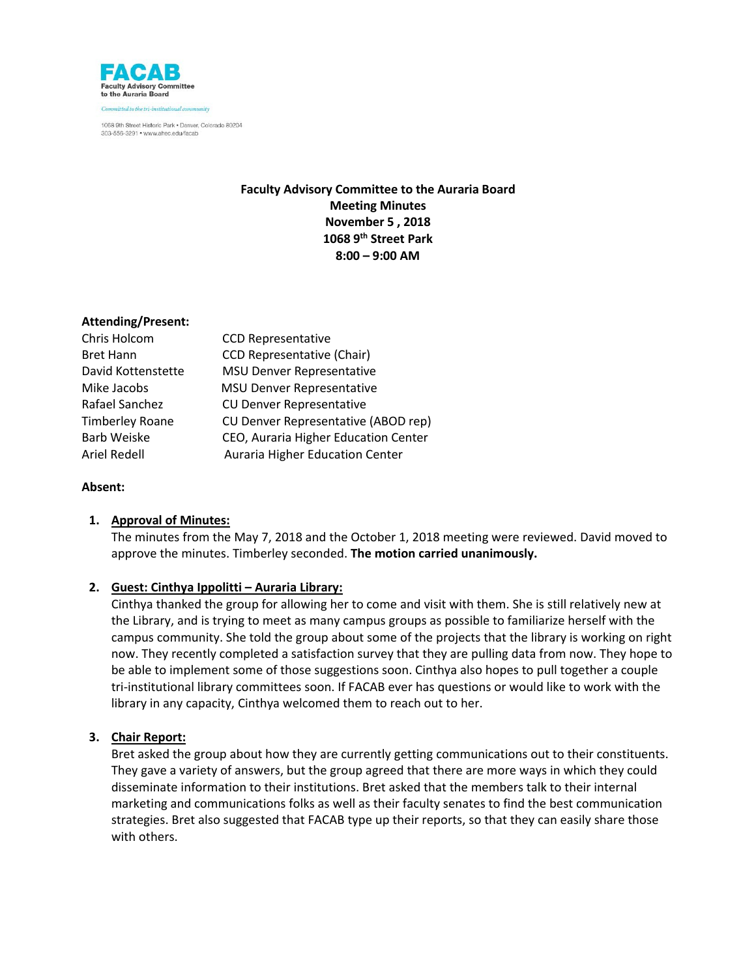

# **Faculty Advisory Committee to the Auraria Board Meeting Minutes November 5 , 2018 1068 9th Street Park 8:00 – 9:00 AM**

## **Attending/Present:**

| Chris Holcom           | <b>CCD Representative</b>            |
|------------------------|--------------------------------------|
| <b>Bret Hann</b>       | <b>CCD Representative (Chair)</b>    |
| David Kottenstette     | <b>MSU Denver Representative</b>     |
| Mike Jacobs            | <b>MSU Denver Representative</b>     |
| Rafael Sanchez         | <b>CU Denver Representative</b>      |
| <b>Timberley Roane</b> | CU Denver Representative (ABOD rep)  |
| <b>Barb Weiske</b>     | CEO, Auraria Higher Education Center |
| Ariel Redell           | Auraria Higher Education Center      |

## **Absent:**

## **1. Approval of Minutes:**

The minutes from the May 7, 2018 and the October 1, 2018 meeting were reviewed. David moved to approve the minutes. Timberley seconded. **The motion carried unanimously.**

## **2. Guest: Cinthya Ippolitti – Auraria Library:**

Cinthya thanked the group for allowing her to come and visit with them. She is still relatively new at the Library, and is trying to meet as many campus groups as possible to familiarize herself with the campus community. She told the group about some of the projects that the library is working on right now. They recently completed a satisfaction survey that they are pulling data from now. They hope to be able to implement some of those suggestions soon. Cinthya also hopes to pull together a couple tri-institutional library committees soon. If FACAB ever has questions or would like to work with the library in any capacity, Cinthya welcomed them to reach out to her.

## **3. Chair Report:**

Bret asked the group about how they are currently getting communications out to their constituents. They gave a variety of answers, but the group agreed that there are more ways in which they could disseminate information to their institutions. Bret asked that the members talk to their internal marketing and communications folks as well as their faculty senates to find the best communication strategies. Bret also suggested that FACAB type up their reports, so that they can easily share those with others.